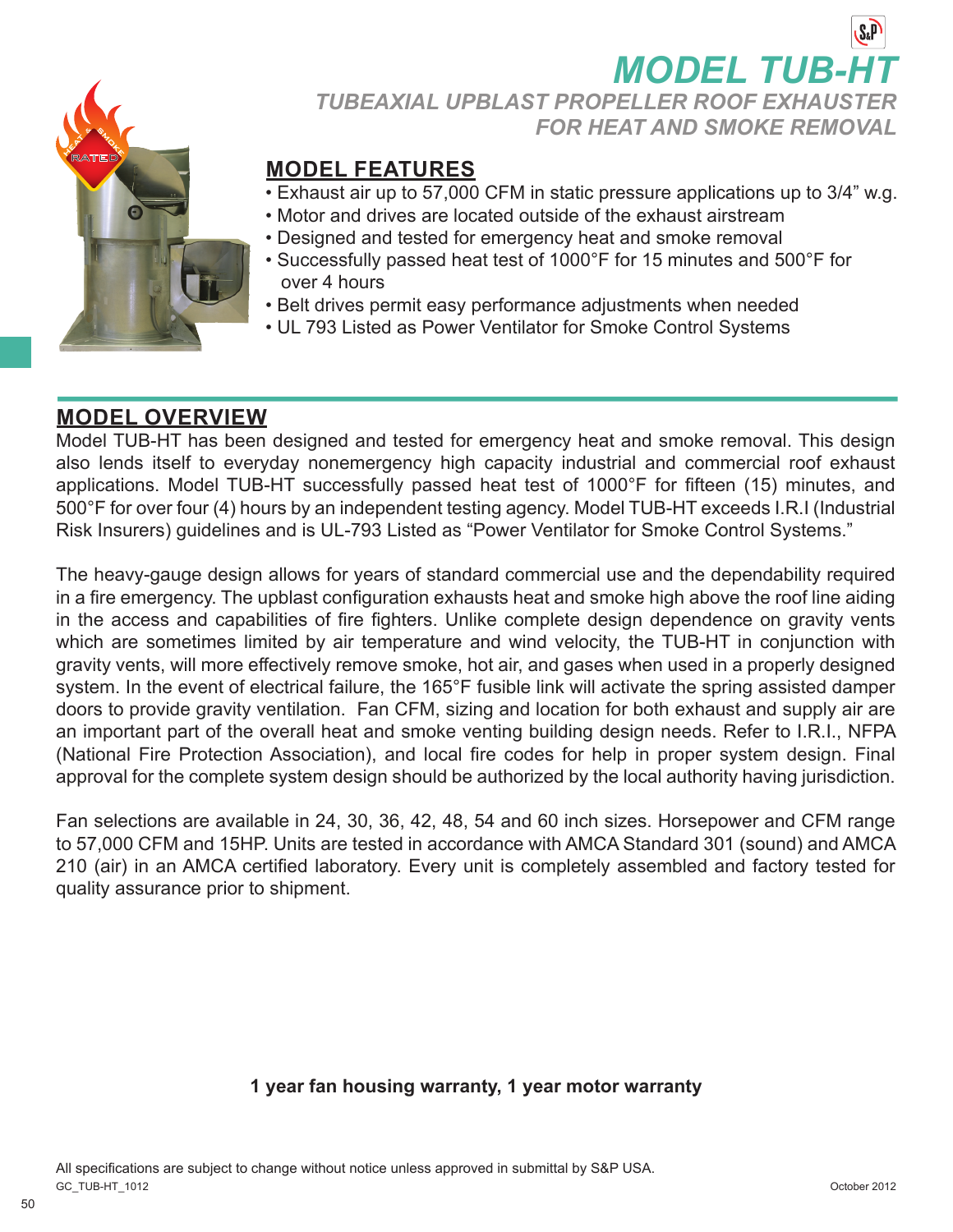

## **MODEL TUB-HT** *TUBEAXIAL UPBLAST PROPELLER ROOF EXHAUSTER FOR HEAT AND SMOKE REMOVAL*

### **MODEL FEATURES**

- Exhaust air up to 57,000 CFM in static pressure applications up to 3/4" w.g.
- Motor and drives are located outside of the exhaust airstream
- Designed and tested for emergency heat and smoke removal
- Successfully passed heat test of 1000°F for 15 minutes and 500°F for over 4 hours
- Belt drives permit easy performance adjustments when needed
- UL 793 Listed as Power Ventilator for Smoke Control Systems

### **MODEL OVERVIEW**

Model TUB-HT has been designed and tested for emergency heat and smoke removal. This design also lends itself to everyday nonemergency high capacity industrial and commercial roof exhaust applications. Model TUB-HT successfully passed heat test of 1000°F for fifteen (15) minutes, and 500°F for over four (4) hours by an independent testing agency. Model TUB-HT exceeds I.R.I (Industrial Risk Insurers) guidelines and is UL-793 Listed as "Power Ventilator for Smoke Control Systems."

The heavy-gauge design allows for years of standard commercial use and the dependability required in a fire emergency. The upblast configuration exhausts heat and smoke high above the roof line aiding in the access and capabilities of fire fighters. Unlike complete design dependence on gravity vents which are sometimes limited by air temperature and wind velocity, the TUB-HT in conjunction with gravity vents, will more effectively remove smoke, hot air, and gases when used in a properly designed system. In the event of electrical failure, the 165°F fusible link will activate the spring assisted damper doors to provide gravity ventilation. Fan CFM, sizing and location for both exhaust and supply air are an important part of the overall heat and smoke venting building design needs. Refer to I.R.I., NFPA (National Fire Protection Association), and local fire codes for help in proper system design. Final approval for the complete system design should be authorized by the local authority having jurisdiction.

Fan selections are available in 24, 30, 36, 42, 48, 54 and 60 inch sizes. Horsepower and CFM range to 57,000 CFM and 15HP. Units are tested in accordance with AMCA Standard 301 (sound) and AMCA 210 (air) in an AMCA certified laboratory. Every unit is completely assembled and factory tested for quality assurance prior to shipment.

#### **1 year fan housing warranty, 1 year motor warranty**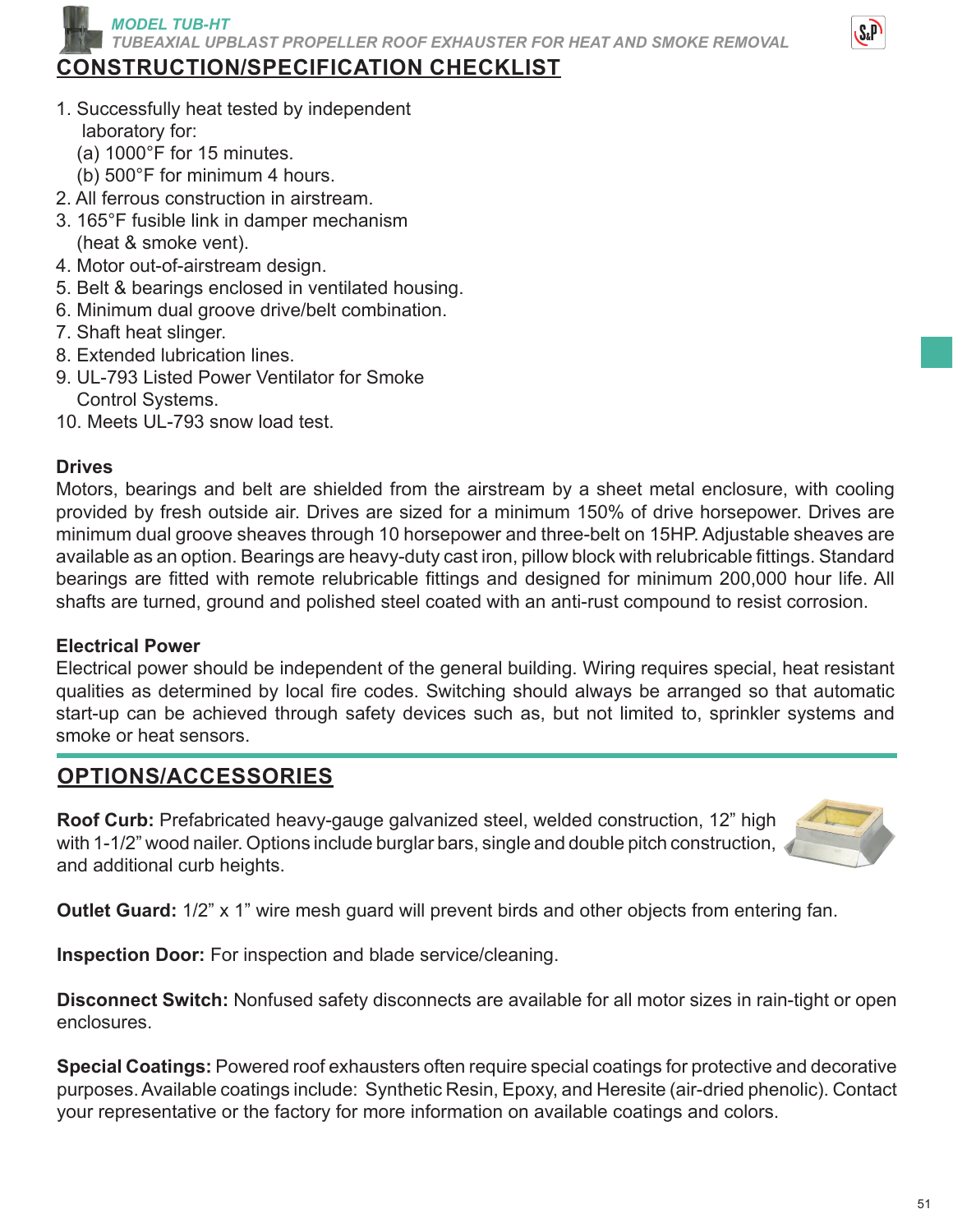*MODEL TUB-HT TUBEAXIAL UPBLAST PROPELLER ROOF EXHAUSTER FOR HEAT AND SMOKE REMOVAL*

## **CONSTRUCTION/SPECIFICATION CHECKLIST**

- 1. Successfully heat tested by independent laboratory for:
	- (a) 1000°F for 15 minutes.
	- (b) 500°F for minimum 4 hours.
- 2. All ferrous construction in airstream.
- 3. 165°F fusible link in damper mechanism (heat & smoke vent).
- 4. Motor out-of-airstream design.
- 5. Belt & bearings enclosed in ventilated housing.
- 6. Minimum dual groove drive/belt combination.
- 7. Shaft heat slinger.
- 8. Extended lubrication lines.
- 9. UL-793 Listed Power Ventilator for Smoke Control Systems.
- 10. Meets UL-793 snow load test.

#### **Drives**

Motors, bearings and belt are shielded from the airstream by a sheet metal enclosure, with cooling provided by fresh outside air. Drives are sized for a minimum 150% of drive horsepower. Drives are minimum dual groove sheaves through 10 horsepower and three-belt on 15HP. Adjustable sheaves are available as an option. Bearings are heavy-duty cast iron, pillow block with relubricable fittings. Standard bearings are fitted with remote relubricable fittings and designed for minimum 200,000 hour life. All shafts are turned, ground and polished steel coated with an anti-rust compound to resist corrosion.

#### **Electrical Power**

Electrical power should be independent of the general building. Wiring requires special, heat resistant qualities as determined by local fire codes. Switching should always be arranged so that automatic start-up can be achieved through safety devices such as, but not limited to, sprinkler systems and smoke or heat sensors.

### **OPTIONS/ACCESSORIES**

**Roof Curb:** Prefabricated heavy-gauge galvanized steel, welded construction, 12" high with 1-1/2" wood nailer. Options include burglar bars, single and double pitch construction, and additional curb heights.



**Outlet Guard:** 1/2" x 1" wire mesh guard will prevent birds and other objects from entering fan.

**Inspection Door:** For inspection and blade service/cleaning.

**Disconnect Switch:** Nonfused safety disconnects are available for all motor sizes in rain-tight or open enclosures.

**Special Coatings:** Powered roof exhausters often require special coatings for protective and decorative purposes. Available coatings include: Synthetic Resin, Epoxy, and Heresite (air-dried phenolic). Contact your representative or the factory for more information on available coatings and colors.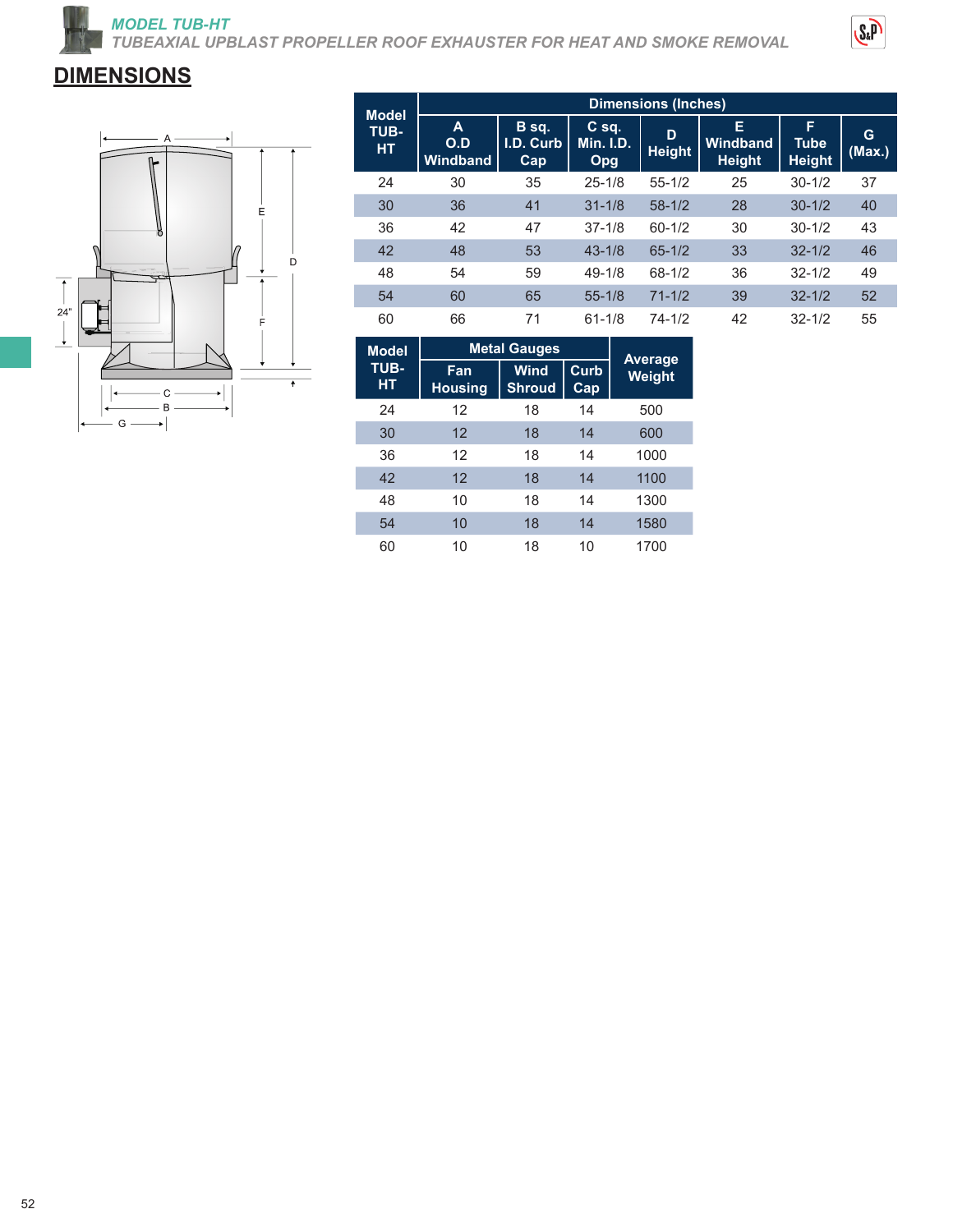*MODEL TUB-HT TUBEAXIAL UPBLAST PROPELLER ROOF EXHAUSTER FOR HEAT AND SMOKE REMOVAL*



# **DIMENSIONS**



| <b>Model</b><br>TUB-<br><b>HT</b> | <b>Dimensions (Inches)</b>  |                           |                                    |                    |                                |                                   |             |  |  |
|-----------------------------------|-----------------------------|---------------------------|------------------------------------|--------------------|--------------------------------|-----------------------------------|-------------|--|--|
|                                   | A<br>O.D<br><b>Windband</b> | B sq.<br>I.D. Curb<br>Cap | $C$ sq.<br><b>Min. I.D.</b><br>Opg | D<br><b>Height</b> | Е<br>Windband<br><b>Height</b> | F<br><b>Tube</b><br><b>Height</b> | G<br>(Max.) |  |  |
| 24                                | 30                          | 35                        | $25 - 1/8$                         | $55 - 1/2$         | 25                             | $30 - 1/2$                        | 37          |  |  |
| 30                                | 36                          | 41                        | $31 - 1/8$                         | $58-1/2$           | 28                             | $30 - 1/2$                        | 40          |  |  |
| 36                                | 42                          | 47                        | $37 - 1/8$                         | $60 - 1/2$         | 30                             | $30 - 1/2$                        | 43          |  |  |
| 42                                | 48                          | 53                        | $43 - 1/8$                         | $65 - 1/2$         | 33                             | $32 - 1/2$                        | 46          |  |  |
| 48                                | 54                          | 59                        | $49 - 1/8$                         | $68 - 1/2$         | 36                             | $32 - 1/2$                        | 49          |  |  |
| 54                                | 60                          | 65                        | $55 - 1/8$                         | $71 - 1/2$         | 39                             | $32 - 1/2$                        | 52          |  |  |
| 60                                | 66                          | 71                        | $61 - 1/8$                         | $74 - 1/2$         | 42                             | $32 - 1/2$                        | 55          |  |  |

| <b>Model</b> | <b>Metal Gauges</b>   |                              |             |                          |  |
|--------------|-----------------------|------------------------------|-------------|--------------------------|--|
| TUB-<br>HТ   | Fan<br><b>Housing</b> | <b>Wind</b><br><b>Shroud</b> | Curb<br>Cap | Average<br><b>Weight</b> |  |
| 24           | 12                    | 18                           | 14          | 500                      |  |
| 30           | 12                    | 18                           | 14          | 600                      |  |
| 36           | 12                    | 18                           | 14          | 1000                     |  |
| 42           | 12                    | 18                           | 14          | 1100                     |  |
| 48           | 10                    | 18                           | 14          | 1300                     |  |
| 54           | 10                    | 18                           | 14          | 1580                     |  |
| 60           | 10                    | 18                           | 10          | 1700                     |  |